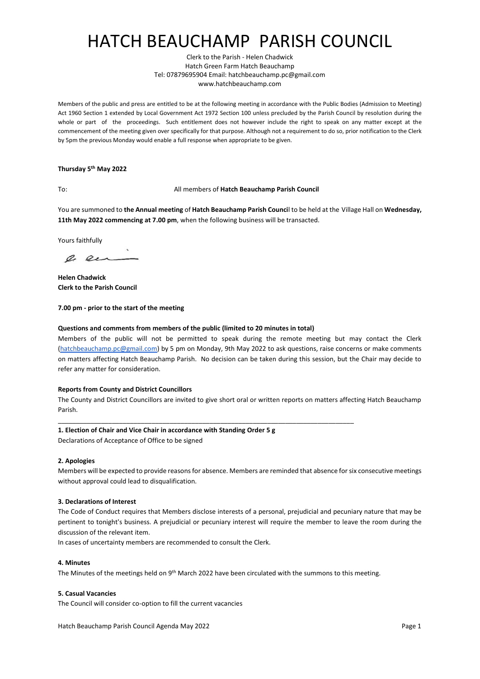# HATCH BEAUCHAMP PARISH COUNCIL

Clerk to the Parish - Helen Chadwick Hatch Green Farm Hatch Beauchamp Tel: 07879695904 Email: hatchbeauchamp.pc@gmail.com www.hatchbeauchamp.com

Members of the public and press are entitled to be at the following meeting in accordance with the Public Bodies (Admission to Meeting) Act 1960 Section 1 extended by Local Government Act 1972 Section 100 unless precluded by the Parish Council by resolution during the whole or part of the proceedings. Such entitlement does not however include the right to speak on any matter except at the commencement of the meeting given over specifically for that purpose. Although not a requirement to do so, prior notification to the Clerk by 5pm the previous Monday would enable a full response when appropriate to be given.

## **Thursday 5 th May 2022**

### To: All members of **Hatch Beauchamp Parish Council**

You are summoned to **the Annual meeting** of **Hatch Beauchamp Parish Counci**l to be held at the Village Hall on **Wednesday, 11th May 2022 commencing at 7.00 pm**, when the following business will be transacted.

Yours faithfully

a en

**Helen Chadwick Clerk to the Parish Council**

### **7.00 pm - prior to the start of the meeting**

### **Questions and comments from members of the public (limited to 20 minutes in total)**

Members of the public will not be permitted to speak during the remote meeting but may contact the Clerk [\(hatchbeauchamp.pc@gmail.com\)](mailto:hatchbeauchamp.pc@gmail.com) by 5 pm on Monday, 9th May 2022 to ask questions, raise concerns or make comments on matters affecting Hatch Beauchamp Parish. No decision can be taken during this session, but the Chair may decide to refer any matter for consideration.

#### **Reports from County and District Councillors**

The County and District Councillors are invited to give short oral or written reports on matters affecting Hatch Beauchamp Parish.

\_\_\_\_\_\_\_\_\_\_\_\_\_\_\_\_\_\_\_\_\_\_\_\_\_\_\_\_\_\_\_\_\_\_\_\_\_\_\_\_\_\_\_\_\_\_\_\_\_\_\_\_\_\_\_\_\_\_\_\_\_\_\_\_\_\_\_\_\_\_\_\_\_\_\_\_\_\_\_\_\_\_

# **1. Election of Chair and Vice Chair in accordance with Standing Order 5 g**

Declarations of Acceptance of Office to be signed

# **2. Apologies**

Members will be expected to provide reasons for absence. Members are reminded that absence for six consecutive meetings without approval could lead to disqualification.

#### **3. Declarations of Interest**

The Code of Conduct requires that Members disclose interests of a personal, prejudicial and pecuniary nature that may be pertinent to tonight's business. A prejudicial or pecuniary interest will require the member to leave the room during the discussion of the relevant item.

In cases of uncertainty members are recommended to consult the Clerk.

#### **4. Minutes**

The Minutes of the meetings held on 9<sup>th</sup> March 2022 have been circulated with the summons to this meeting.

# **5. Casual Vacancies**

The Council will consider co-option to fill the current vacancies

Hatch Beauchamp Parish Council Agenda May 2022 **Page 1 Page 1**